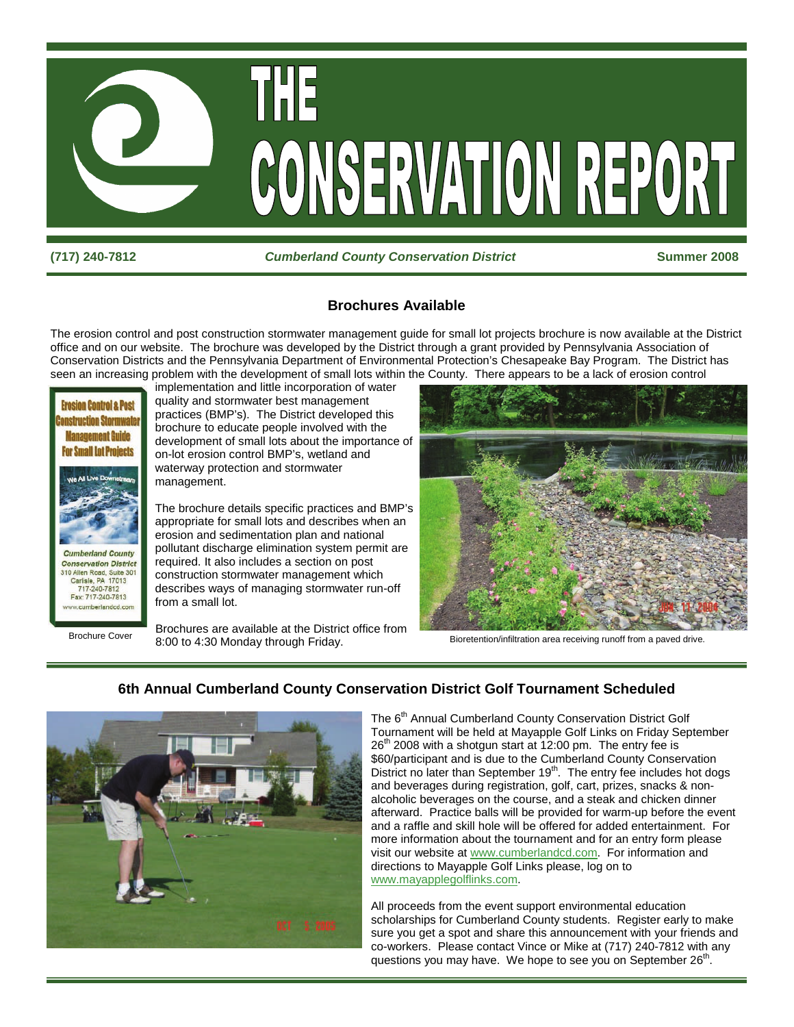

#### **(717) 240-7812** *Cumberland County Conservation District* **Summer 2008**

#### **Brochures Available**

The erosion control and post construction stormwater management guide for small lot projects brochure is now available at the District office and on our website. The brochure was developed by the District through a grant provided by Pennsylvania Association of Conservation Districts and the Pennsylvania Department of Environmental Protection's Chesapeake Bay Program. The District has seen an increasing problem with the development of small lots within the County. There appears to be a lack of erosion control



implementation and little incorporation of water quality and stormwater best management practices (BMP's). The District developed this brochure to educate people involved with the development of small lots about the importance of on-lot erosion control BMP's, wetland and waterway protection and stormwater management.

The brochure details specific practices and BMP's appropriate for small lots and describes when an erosion and sedimentation plan and national pollutant discharge elimination system permit are required. It also includes a section on post construction stormwater management which describes ways of managing stormwater run-off from a small lot.

Brochures are available at the District office from 8:00 to 4:30 Monday through Friday. Brochure Cover<br>Bioretention/infiltration area receiving runoff from a paved drive.





#### **6th Annual Cumberland County Conservation District Golf Tournament Scheduled**

The 6<sup>th</sup> Annual Cumberland County Conservation District Golf Tournament will be held at Mayapple Golf Links on Friday September  $26<sup>th</sup>$  2008 with a shotgun start at 12:00 pm. The entry fee is \$60/participant and is due to the Cumberland County Conservation District no later than September 19<sup>th</sup>. The entry fee includes hot dogs and beverages during registration, golf, cart, prizes, snacks & nonalcoholic beverages on the course, and a steak and chicken dinner afterward. Practice balls will be provided for warm-up before the event and a raffle and skill hole will be offered for added entertainment. For more information about the tournament and for an entry form please visit our website at www.cumberlandcd.com. For information and directions to Mayapple Golf Links please, log on to www.mayapplegolflinks.com.

All proceeds from the event support environmental education scholarships for Cumberland County students. Register early to make sure you get a spot and share this announcement with your friends and co-workers. Please contact Vince or Mike at (717) 240-7812 with any questions you may have. We hope to see you on September 26<sup>th</sup>.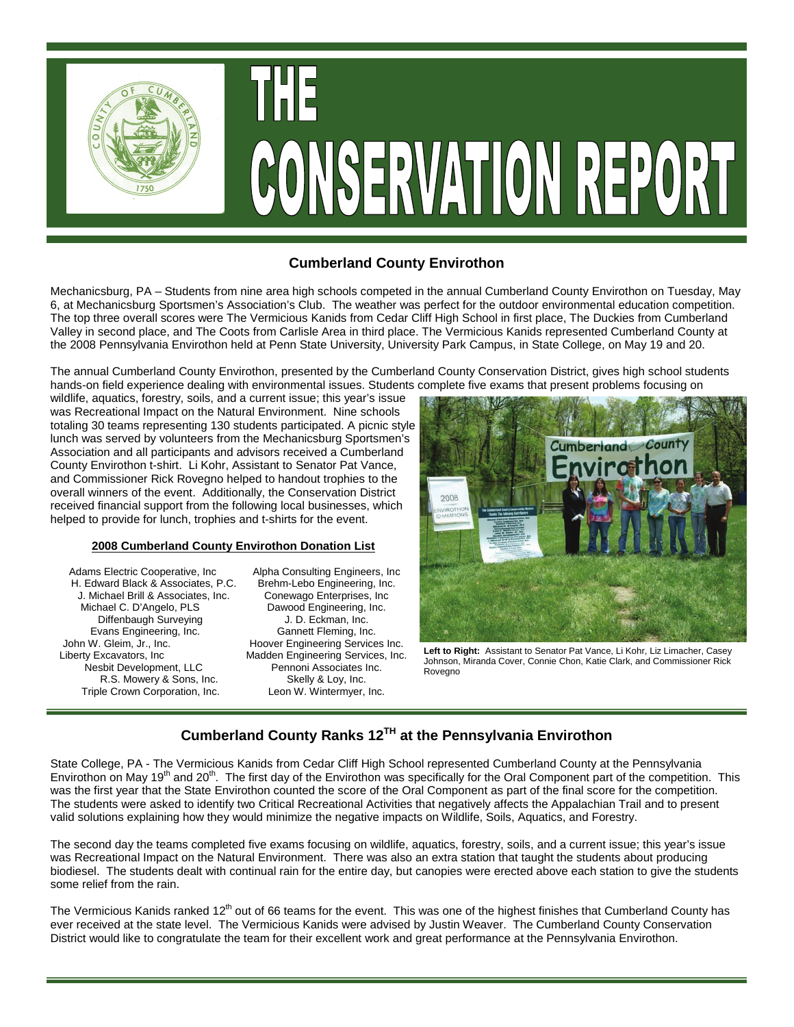

## **Cumberland County Envirothon**

Mechanicsburg, PA – Students from nine area high schools competed in the annual Cumberland County Envirothon on Tuesday, May 6, at Mechanicsburg Sportsmen's Association's Club. The weather was perfect for the outdoor environmental education competition. The top three overall scores were The Vermicious Kanids from Cedar Cliff High School in first place, The Duckies from Cumberland Valley in second place, and The Coots from Carlisle Area in third place. The Vermicious Kanids represented Cumberland County at the 2008 Pennsylvania Envirothon held at Penn State University, University Park Campus, in State College, on May 19 and 20.

The annual Cumberland County Envirothon, presented by the Cumberland County Conservation District, gives high school students hands-on field experience dealing with environmental issues. Students complete five exams that present problems focusing on

wildlife, aquatics, forestry, soils, and a current issue; this year's issue was Recreational Impact on the Natural Environment. Nine schools totaling 30 teams representing 130 students participated. A picnic style lunch was served by volunteers from the Mechanicsburg Sportsmen's Association and all participants and advisors received a Cumberland County Envirothon t-shirt. Li Kohr, Assistant to Senator Pat Vance, and Commissioner Rick Rovegno helped to handout trophies to the overall winners of the event. Additionally, the Conservation District received financial support from the following local businesses, which helped to provide for lunch, trophies and t-shirts for the event.

#### **2008 Cumberland County Envirothon Donation List**

Adams Electric Cooperative, Inc Alpha Consulting Engineers, Inc.<br>H. Edward Black & Associates, P.C. Brehm-Lebo Engineering, Inc. H. Edward Black & Associates, P.C. Brehm-Lebo Engineering, Inc. J. Michael Brill & Associates, Inc. Michael C. D'Angelo, PLS Dawood Engineering, Inc. Diffenbaugh Surveying J. D. Eckman, Inc. Evans Engineering, Inc. Gannett Fleming, Inc. John W. Gleim, Jr., Inc. **Hoover Engineering Services Inc.** Liberty Excavators, Inc Madden Engineering Services, Inc. Nesbit Development, LLC<br>R.S. Mowery & Sons, Inc. Skelly & Loy, Inc. R.S. Mowery & Sons, Inc. Skelly & Loy, Inc. Skelly & Loy, Inc. Skelly & Loy, Inc. Skelly & Loy, Inc. Triple Crown Corporation, Inc.

 $\overline{a}$ 



**Left to Right:** Assistant to Senator Pat Vance, Li Kohr, Liz Limacher, Casey Johnson, Miranda Cover, Connie Chon, Katie Clark, and Commissioner Rick Rovegno

## **Cumberland County Ranks 12TH at the Pennsylvania Envirothon**

State College, PA - The Vermicious Kanids from Cedar Cliff High School represented Cumberland County at the Pennsylvania Envirothon on May 19<sup>th</sup> and 20<sup>th</sup>. The first day of the Envirothon was specifically for the Oral Component part of the competition. This was the first year that the State Envirothon counted the score of the Oral Component as part of the final score for the competition. The students were asked to identify two Critical Recreational Activities that negatively affects the Appalachian Trail and to present valid solutions explaining how they would minimize the negative impacts on Wildlife, Soils, Aquatics, and Forestry.

The second day the teams completed five exams focusing on wildlife, aquatics, forestry, soils, and a current issue; this year's issue was Recreational Impact on the Natural Environment. There was also an extra station that taught the students about producing biodiesel. The students dealt with continual rain for the entire day, but canopies were erected above each station to give the students some relief from the rain.

The Vermicious Kanids ranked 12<sup>th</sup> out of 66 teams for the event. This was one of the highest finishes that Cumberland County has ever received at the state level. The Vermicious Kanids were advised by Justin Weaver. The Cumberland County Conservation District would like to congratulate the team for their excellent work and great performance at the Pennsylvania Envirothon.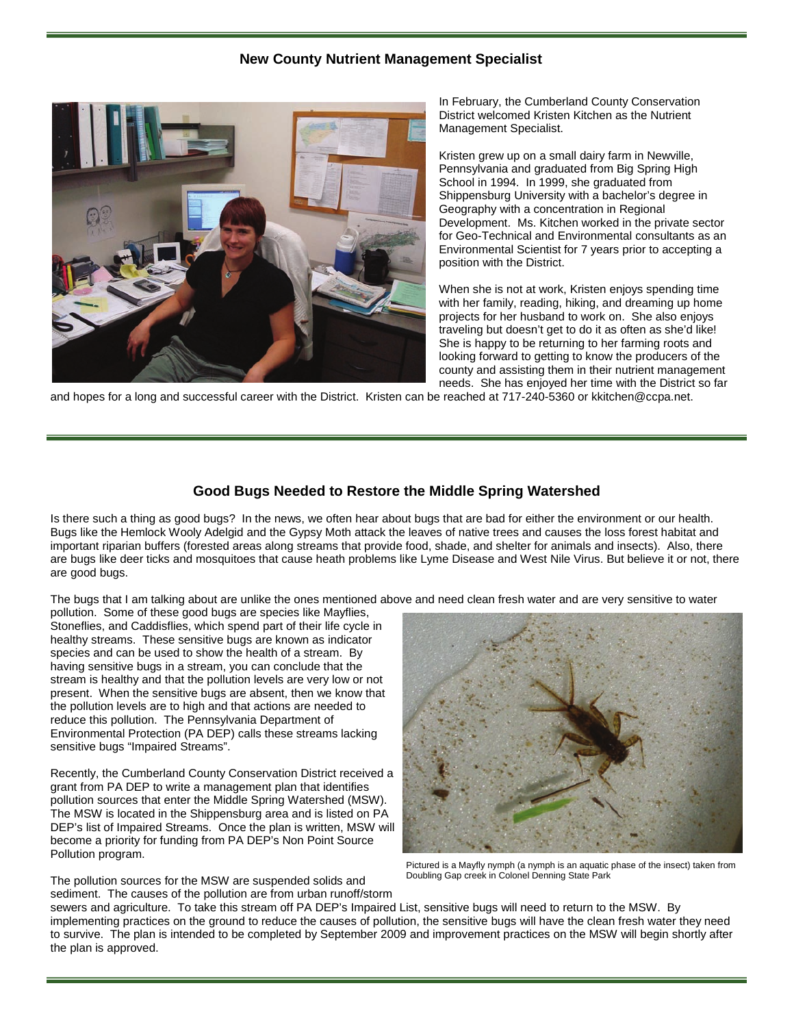#### **New County Nutrient Management Specialist**



In February, the Cumberland County Conservation District welcomed Kristen Kitchen as the Nutrient Management Specialist.

Kristen grew up on a small dairy farm in Newville, Pennsylvania and graduated from Big Spring High School in 1994. In 1999, she graduated from Shippensburg University with a bachelor's degree in Geography with a concentration in Regional Development. Ms. Kitchen worked in the private sector for Geo-Technical and Environmental consultants as an Environmental Scientist for 7 years prior to accepting a position with the District.

When she is not at work, Kristen enjoys spending time with her family, reading, hiking, and dreaming up home projects for her husband to work on. She also enjoys traveling but doesn't get to do it as often as she'd like! She is happy to be returning to her farming roots and looking forward to getting to know the producers of the county and assisting them in their nutrient management needs. She has enjoyed her time with the District so far

and hopes for a long and successful career with the District. Kristen can be reached at 717-240-5360 or kkitchen@ccpa.net.

#### **Good Bugs Needed to Restore the Middle Spring Watershed**

Is there such a thing as good bugs? In the news, we often hear about bugs that are bad for either the environment or our health. Bugs like the Hemlock Wooly Adelgid and the Gypsy Moth attack the leaves of native trees and causes the loss forest habitat and important riparian buffers (forested areas along streams that provide food, shade, and shelter for animals and insects). Also, there are bugs like deer ticks and mosquitoes that cause heath problems like Lyme Disease and West Nile Virus. But believe it or not, there are good bugs.

The bugs that I am talking about are unlike the ones mentioned above and need clean fresh water and are very sensitive to water

pollution. Some of these good bugs are species like Mayflies, Stoneflies, and Caddisflies, which spend part of their life cycle in healthy streams. These sensitive bugs are known as indicator species and can be used to show the health of a stream. By having sensitive bugs in a stream, you can conclude that the stream is healthy and that the pollution levels are very low or not present. When the sensitive bugs are absent, then we know that the pollution levels are to high and that actions are needed to reduce this pollution. The Pennsylvania Department of Environmental Protection (PA DEP) calls these streams lacking sensitive bugs "Impaired Streams".

Recently, the Cumberland County Conservation District received a grant from PA DEP to write a management plan that identifies pollution sources that enter the Middle Spring Watershed (MSW). The MSW is located in the Shippensburg area and is listed on PA DEP's list of Impaired Streams. Once the plan is written, MSW will become a priority for funding from PA DEP's Non Point Source Pollution program.



Pictured is a Mayfly nymph (a nymph is an aquatic phase of the insect) taken from Doubling Gap creek in Colonel Denning State Park

The pollution sources for the MSW are suspended solids and sediment. The causes of the pollution are from urban runoff/storm

sewers and agriculture. To take this stream off PA DEP's Impaired List, sensitive bugs will need to return to the MSW. By implementing practices on the ground to reduce the causes of pollution, the sensitive bugs will have the clean fresh water they need to survive. The plan is intended to be completed by September 2009 and improvement practices on the MSW will begin shortly after the plan is approved.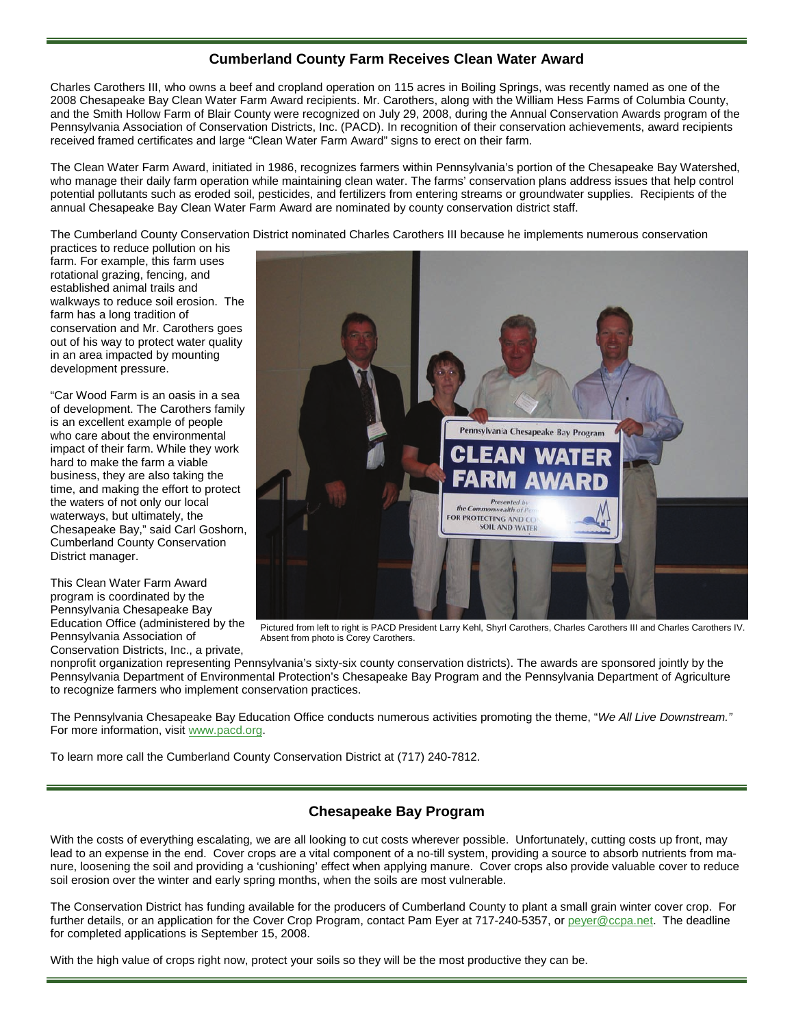## **Cumberland County Farm Receives Clean Water Award**

Charles Carothers III, who owns a beef and cropland operation on 115 acres in Boiling Springs, was recently named as one of the 2008 Chesapeake Bay Clean Water Farm Award recipients. Mr. Carothers, along with the William Hess Farms of Columbia County, and the Smith Hollow Farm of Blair County were recognized on July 29, 2008, during the Annual Conservation Awards program of the Pennsylvania Association of Conservation Districts, Inc. (PACD). In recognition of their conservation achievements, award recipients received framed certificates and large "Clean Water Farm Award" signs to erect on their farm.

The Clean Water Farm Award, initiated in 1986, recognizes farmers within Pennsylvania's portion of the Chesapeake Bay Watershed, who manage their daily farm operation while maintaining clean water. The farms' conservation plans address issues that help control potential pollutants such as eroded soil, pesticides, and fertilizers from entering streams or groundwater supplies. Recipients of the annual Chesapeake Bay Clean Water Farm Award are nominated by county conservation district staff.

The Cumberland County Conservation District nominated Charles Carothers III because he implements numerous conservation

practices to reduce pollution on his farm. For example, this farm uses rotational grazing, fencing, and established animal trails and walkways to reduce soil erosion. The farm has a long tradition of conservation and Mr. Carothers goes out of his way to protect water quality in an area impacted by mounting development pressure.

"Car Wood Farm is an oasis in a sea of development. The Carothers family is an excellent example of people who care about the environmental impact of their farm. While they work hard to make the farm a viable business, they are also taking the time, and making the effort to protect the waters of not only our local waterways, but ultimately, the Chesapeake Bay," said Carl Goshorn, Cumberland County Conservation District manager.

This Clean Water Farm Award program is coordinated by the Pennsylvania Chesapeake Bay Education Office (administered by the Pennsylvania Association of Conservation Districts, Inc., a private,



Pictured from left to right is PACD President Larry Kehl, Shyrl Carothers, Charles Carothers III and Charles Carothers IV. Absent from photo is Corey Carothers.

nonprofit organization representing Pennsylvania's sixty-six county conservation districts). The awards are sponsored jointly by the Pennsylvania Department of Environmental Protection's Chesapeake Bay Program and the Pennsylvania Department of Agriculture to recognize farmers who implement conservation practices.

The Pennsylvania Chesapeake Bay Education Office conducts numerous activities promoting the theme, "*We All Live Downstream."* For more information, visit www.pacd.org.

To learn more call the Cumberland County Conservation District at (717) 240-7812.

## **Chesapeake Bay Program**

With the costs of everything escalating, we are all looking to cut costs wherever possible. Unfortunately, cutting costs up front, may lead to an expense in the end. Cover crops are a vital component of a no-till system, providing a source to absorb nutrients from manure, loosening the soil and providing a 'cushioning' effect when applying manure. Cover crops also provide valuable cover to reduce soil erosion over the winter and early spring months, when the soils are most vulnerable.

The Conservation District has funding available for the producers of Cumberland County to plant a small grain winter cover crop. For further details, or an application for the Cover Crop Program, contact Pam Eyer at 717-240-5357, or peyer@ccpa.net. The deadline for completed applications is September 15, 2008.

With the high value of crops right now, protect your soils so they will be the most productive they can be.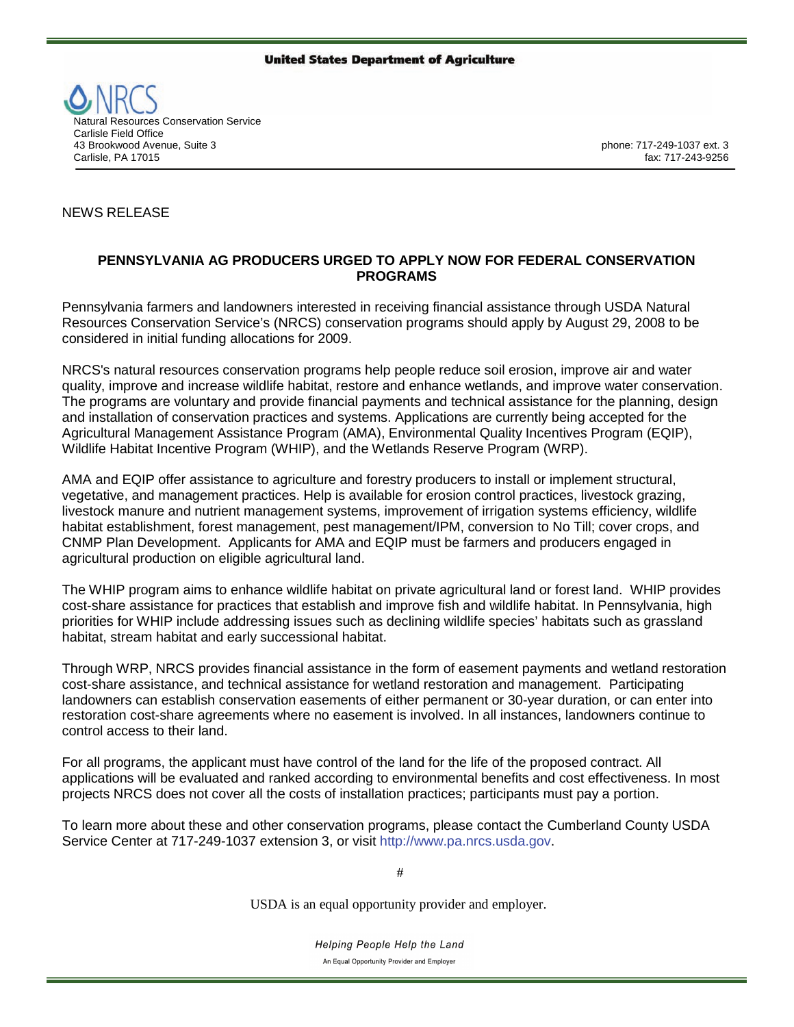#### **United States Department of Agriculture**



## NEWS RELEASE

#### **PENNSYLVANIA AG PRODUCERS URGED TO APPLY NOW FOR FEDERAL CONSERVATION PROGRAMS**

Pennsylvania farmers and landowners interested in receiving financial assistance through USDA Natural Resources Conservation Service's (NRCS) conservation programs should apply by August 29, 2008 to be considered in initial funding allocations for 2009.

NRCS's natural resources conservation programs help people reduce soil erosion, improve air and water quality, improve and increase wildlife habitat, restore and enhance wetlands, and improve water conservation. The programs are voluntary and provide financial payments and technical assistance for the planning, design and installation of conservation practices and systems. Applications are currently being accepted for the Agricultural Management Assistance Program (AMA), Environmental Quality Incentives Program (EQIP), Wildlife Habitat Incentive Program (WHIP), and the Wetlands Reserve Program (WRP).

AMA and EQIP offer assistance to agriculture and forestry producers to install or implement structural, vegetative, and management practices. Help is available for erosion control practices, livestock grazing, livestock manure and nutrient management systems, improvement of irrigation systems efficiency, wildlife habitat establishment, forest management, pest management/IPM, conversion to No Till; cover crops, and CNMP Plan Development. Applicants for AMA and EQIP must be farmers and producers engaged in agricultural production on eligible agricultural land.

The WHIP program aims to enhance wildlife habitat on private agricultural land or forest land. WHIP provides cost-share assistance for practices that establish and improve fish and wildlife habitat. In Pennsylvania, high priorities for WHIP include addressing issues such as declining wildlife species' habitats such as grassland habitat, stream habitat and early successional habitat.

Through WRP, NRCS provides financial assistance in the form of easement payments and wetland restoration cost-share assistance, and technical assistance for wetland restoration and management. Participating landowners can establish conservation easements of either permanent or 30-year duration, or can enter into restoration cost-share agreements where no easement is involved. In all instances, landowners continue to control access to their land.

For all programs, the applicant must have control of the land for the life of the proposed contract. All applications will be evaluated and ranked according to environmental benefits and cost effectiveness. In most projects NRCS does not cover all the costs of installation practices; participants must pay a portion.

To learn more about these and other conservation programs, please contact the Cumberland County USDA Service Center at 717-249-1037 extension 3, or visit http://www.pa.nrcs.usda.gov.

#

USDA is an equal opportunity provider and employer.

Helping People Help the Land An Equal Opportunity Provider and Employer